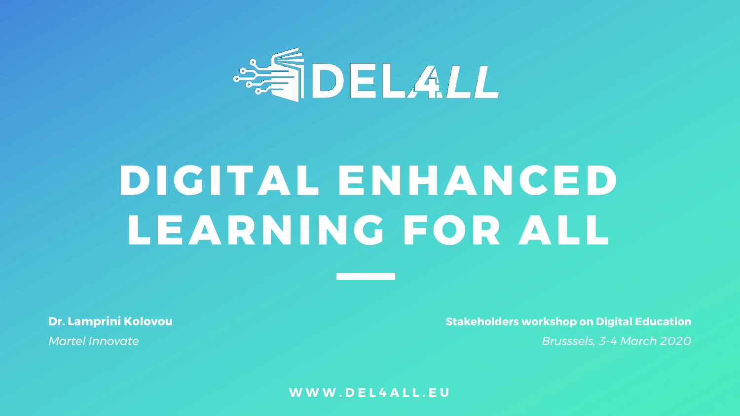

# **DIGITAL ENHANCED LEARNING FOR ALL**

**Dr. Lamprini Kolovou**

*Martel Innovate*

**Stakeholders workshop on Digital Education** *Brusssels, 3-4 March 2020*

**WWW.DEL4ALL.EU**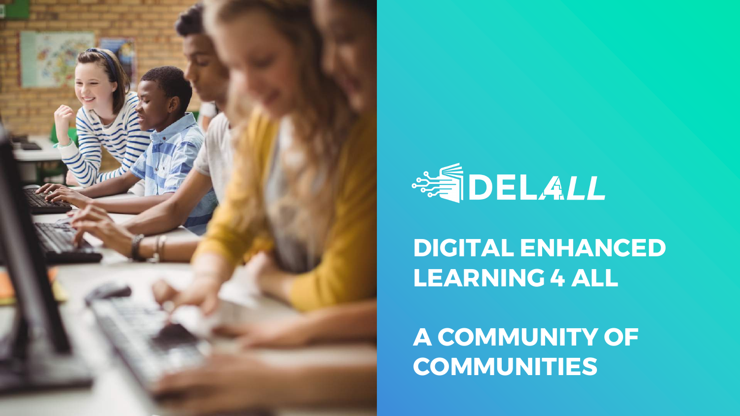



**DIGITAL ENHANCED LEARNING 4 ALL**

**A COMMUNITY OF COMMUNITIES**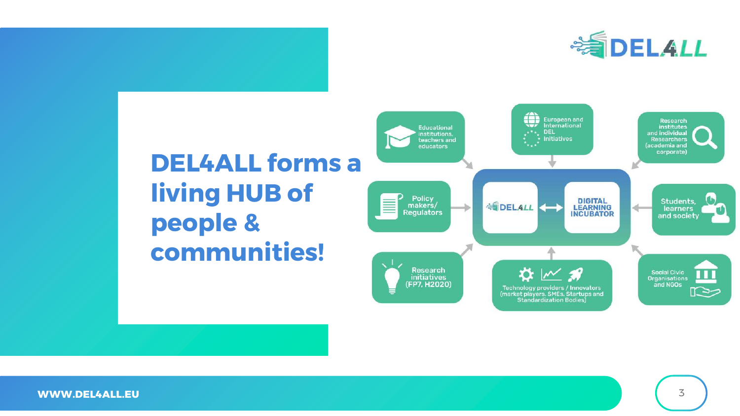

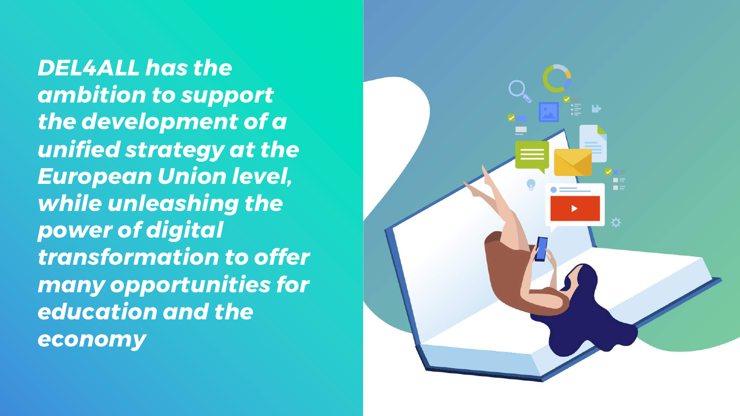*DEL4ALL has the ambition to support the development of a unified strategy at the European Union level, while unleashing the power of digital transformation to offer many opportunities for education and the economy*

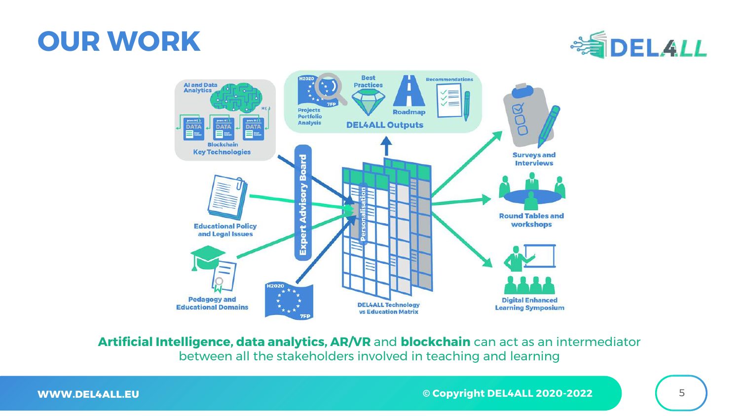### **OUR WORK**





**Artificial Intelligence, data analytics, AR/VR** and **blockchain** can act as an intermediator between all the stakeholders involved in teaching and learning

**WWW.DEL4ALL.EU**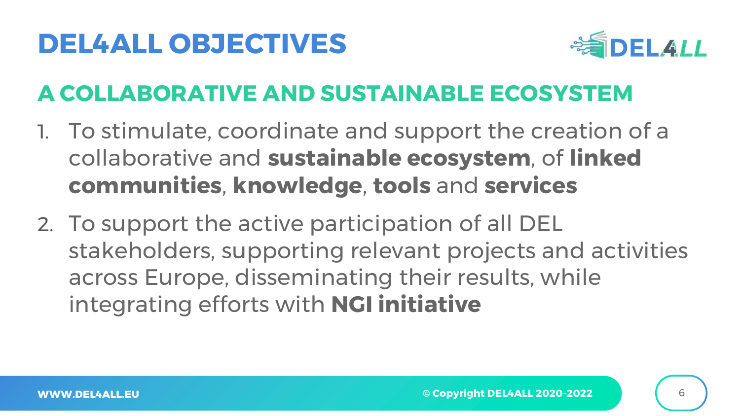## **DEL4ALL OBJECTIVES**



#### **A COLLABORATIVE AND SUSTAINABLE ECOSYSTEM**

- 1. To stimulate, coordinate and support the creation of a collaborative and **sustainable ecosystem**, of **linked communities**, **knowledge**, **tools** and **services**
- 2. To support the active participation of all DEL stakeholders, supporting relevant projects and activities across Europe, disseminating their results, while integrating efforts with **NGI initiative**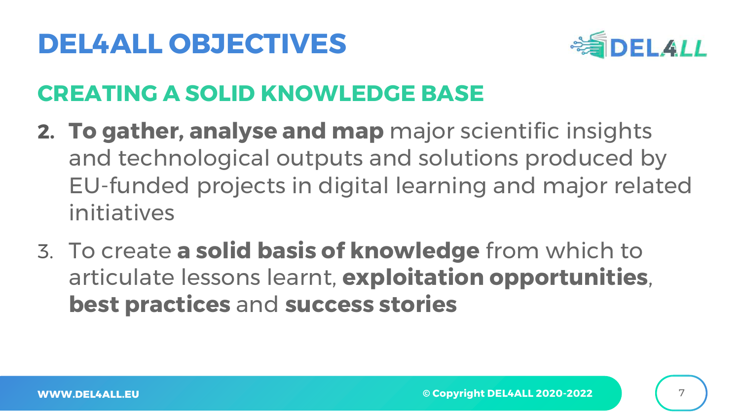## **DEL4ALL OBJECTIVES**



#### **CREATING A SOLID KNOWLEDGE BASE**

- **2. To gather, analyse and map** major scientific insights and technological outputs and solutions produced by EU-funded projects in digital learning and major related initiatives
- 3. To create **a solid basis of knowledge** from which to articulate lessons learnt, **exploitation opportunities**, **best practices** and **success stories**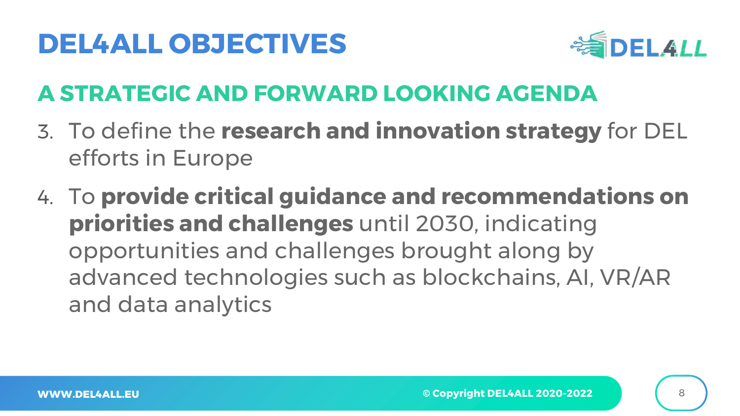## **DEL4ALL OBJECTIVES**



#### **A STRATEGIC AND FORWARD LOOKING AGENDA**

- 3. To define the **research and innovation strategy** for DEL efforts in Europe
- 4. To **provide critical guidance and recommendations on priorities and challenges** until 2030, indicating opportunities and challenges brought along by advanced technologies such as blockchains, AI, VR/AR and data analytics